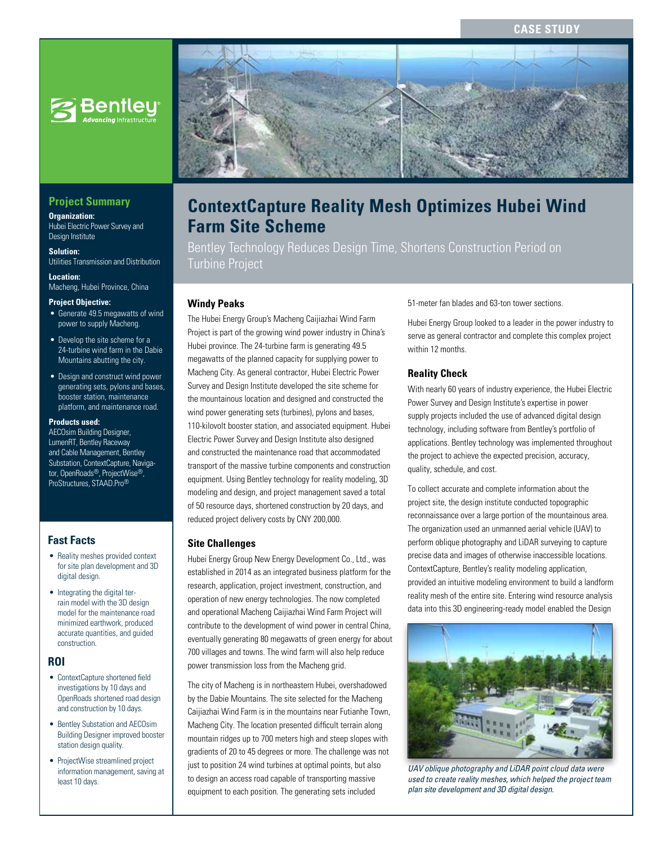## **CASE STUD**



## **Project Summary**

**Organization:**  Hubei Electric Power Survey and Design Institute

**Solution:**  Utilities Transmission and Distribution

**Location:**  Macheng, Hubei Province, China

#### **Project Objective:**

- Generate 49.5 megawatts of wind power to supply Macheng.
- Develop the site scheme for a 24-turbine wind farm in the Dabie Mountains abutting the city.
- Design and construct wind power generating sets, pylons and bases, booster station, maintenance platform, and maintenance road.

#### **Products used:**

AECOsim Building Designer, LumenRT, Bentley Raceway and Cable Management, Bentley Substation, ContextCapture, Navigator, OpenRoads®, ProjectWise®, ProStructures, STAAD.Pro®

#### **Fast Facts**

- Reality meshes provided context for site plan development and 3D digital design.
- Integrating the digital terrain model with the 3D design model for the maintenance road minimized earthwork, produced accurate quantities, and guided construction.

#### **ROI**

- ContextCapture shortened field investigations by 10 days and OpenRoads shortened road design and construction by 10 days.
- Bentley Substation and AECOsim Building Designer improved booster station design quality.
- ProjectWise streamlined project information management, saving at least 10 days.



# **ContextCapture Reality Mesh Optimizes Hubei Wind Farm Site Scheme**

Bentley Technology Reduces Design Time, Shortens Construction Period on Turbine Project

#### **Windy Peaks**

The Hubei Energy Group's Macheng Caijiazhai Wind Farm Project is part of the growing wind power industry in China's Hubei province. The 24-turbine farm is generating 49.5 megawatts of the planned capacity for supplying power to Macheng City. As general contractor, Hubei Electric Power Survey and Design Institute developed the site scheme for the mountainous location and designed and constructed the wind power generating sets (turbines), pylons and bases, 110-kilovolt booster station, and associated equipment. Hubei Electric Power Survey and Design Institute also designed and constructed the maintenance road that accommodated transport of the massive turbine components and construction equipment. Using Bentley technology for reality modeling, 3D modeling and design, and project management saved a total of 50 resource days, shortened construction by 20 days, and reduced project delivery costs by CNY 200,000.

#### **Site Challenges**

Hubei Energy Group New Energy Development Co., Ltd., was established in 2014 as an integrated business platform for the research, application, project investment, construction, and operation of new energy technologies. The now completed and operational Macheng Caijiazhai Wind Farm Project will contribute to the development of wind power in central China, eventually generating 80 megawatts of green energy for about 700 villages and towns. The wind farm will also help reduce power transmission loss from the Macheng grid.

The city of Macheng is in northeastern Hubei, overshadowed by the Dabie Mountains. The site selected for the Macheng Caijiazhai Wind Farm is in the mountains near Futianhe Town, Macheng City. The location presented difficult terrain along mountain ridges up to 700 meters high and steep slopes with gradients of 20 to 45 degrees or more. The challenge was not just to position 24 wind turbines at optimal points, but also to design an access road capable of transporting massive equipment to each position. The generating sets included

51-meter fan blades and 63-ton tower sections.

Hubei Energy Group looked to a leader in the power industry to serve as general contractor and complete this complex project within 12 months.

#### **Reality Check**

With nearly 60 years of industry experience, the Hubei Electric Power Survey and Design Institute's expertise in power supply projects included the use of advanced digital design technology, including software from Bentley's portfolio of applications. Bentley technology was implemented throughout the project to achieve the expected precision, accuracy, quality, schedule, and cost.

To collect accurate and complete information about the project site, the design institute conducted topographic reconnaissance over a large portion of the mountainous area. The organization used an unmanned aerial vehicle (UAV) to perform oblique photography and LiDAR surveying to capture precise data and images of otherwise inaccessible locations. ContextCapture, Bentley's reality modeling application, provided an intuitive modeling environment to build a landform reality mesh of the entire site. Entering wind resource analysis data into this 3D engineering-ready model enabled the Design



*UAV oblique photography and LiDAR point cloud data were used to create reality meshes, which helped the project team plan site development and 3D digital design.*